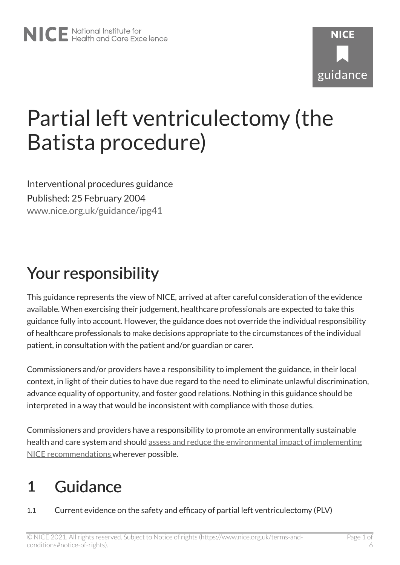# Partial left ventriculectomy (the Batista procedure)

Interventional procedures guidance Published: 25 February 2004 [www.nice.org.uk/guidance/ipg41](https://www.nice.org.uk/guidance/ipg41) 

## Your responsibility

This guidance represents the view of NICE, arrived at after careful consideration of the evidence available. When exercising their judgement, healthcare professionals are expected to take this guidance fully into account. However, the guidance does not override the individual responsibility of healthcare professionals to make decisions appropriate to the circumstances of the individual patient, in consultation with the patient and/or guardian or carer.

Commissioners and/or providers have a responsibility to implement the guidance, in their local context, in light of their duties to have due regard to the need to eliminate unlawful discrimination, advance equality of opportunity, and foster good relations. Nothing in this guidance should be interpreted in a way that would be inconsistent with compliance with those duties.

Commissioners and providers have a responsibility to promote an environmentally sustainable health and care system and should [assess and reduce the environmental impact of implementing](https://www.nice.org.uk/about/who-we-are/sustainability)  [NICE recommendations w](https://www.nice.org.uk/about/who-we-are/sustainability)herever possible.

## 1 Guidance

1.1 Current evidence on the safety and efficacy of partial left ventriculectomy (PLV)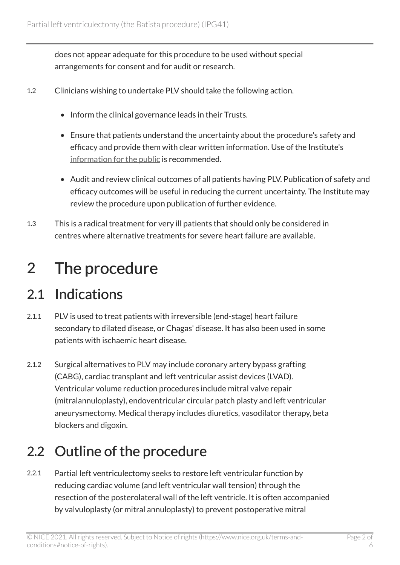does not appear adequate for this procedure to be used without special arrangements for consent and for audit or research.

- 1.2 Clinicians wishing to undertake PLV should take the following action.
	- Inform the clinical governance leads in their Trusts.
	- Ensure that patients understand the uncertainty about the procedure's safety and efficacy and provide them with clear written information. Use of the Institute's [information for the public](http://www.nice.org.uk/guidance/ipg41/informationforpublic) is recommended.
	- Audit and review clinical outcomes of all patients having PLV. Publication of safety and efficacy outcomes will be useful in reducing the current uncertainty. The Institute may review the procedure upon publication of further evidence.
- 1.3 This is a radical treatment for very ill patients that should only be considered in centres where alternative treatments for severe heart failure are available.

## 2 The procedure

#### 2.1 Indications

- 2.1.1 PLV is used to treat patients with irreversible (end-stage) heart failure secondary to dilated disease, or Chagas' disease. It has also been used in some patients with ischaemic heart disease.
- 2.1.2 Surgical alternatives to PLV may include coronary artery bypass grafting (CABG), cardiac transplant and left ventricular assist devices (LVAD). Ventricular volume reduction procedures include mitral valve repair (mitralannuloplasty), endoventricular circular patch plasty and left ventricular aneurysmectomy. Medical therapy includes diuretics, vasodilator therapy, beta blockers and digoxin.

### 2.2 Outline of the procedure

2.2.1 Partial left ventriculectomy seeks to restore left ventricular function by reducing cardiac volume (and left ventricular wall tension) through the resection of the posterolateral wall of the left ventricle. It is often accompanied by valvuloplasty (or mitral annuloplasty) to prevent postoperative mitral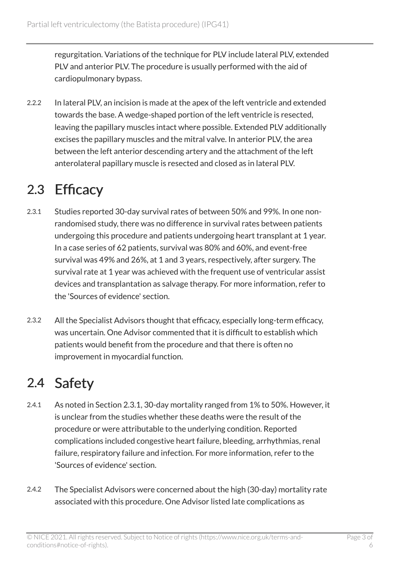regurgitation. Variations of the technique for PLV include lateral PLV, extended PLV and anterior PLV. The procedure is usually performed with the aid of cardiopulmonary bypass.

2.2.2 In lateral PLV, an incision is made at the apex of the left ventricle and extended towards the base. A wedge-shaped portion of the left ventricle is resected, leaving the papillary muscles intact where possible. Extended PLV additionally excises the papillary muscles and the mitral valve. In anterior PLV, the area between the left anterior descending artery and the attachment of the left anterolateral papillary muscle is resected and closed as in lateral PLV.

### 2.3 Efficacy

- 2.3.1 Studies reported 30-day survival rates of between 50% and 99%. In one nonrandomised study, there was no difference in survival rates between patients undergoing this procedure and patients undergoing heart transplant at 1 year. In a case series of 62 patients, survival was 80% and 60%, and event-free survival was 49% and 26%, at 1 and 3 years, respectively, after surgery. The survival rate at 1 year was achieved with the frequent use of ventricular assist devices and transplantation as salvage therapy. For more information, refer to the 'Sources of evidence' section.
- 2.3.2 All the Specialist Advisors thought that efficacy, especially long-term efficacy, was uncertain. One Advisor commented that it is difficult to establish which patients would benefit from the procedure and that there is often no improvement in myocardial function.

### 2.4 Safety

- 2.4.1 As noted in Section 2.3.1, 30-day mortality ranged from 1% to 50%. However, it is unclear from the studies whether these deaths were the result of the procedure or were attributable to the underlying condition. Reported complications included congestive heart failure, bleeding, arrhythmias, renal failure, respiratory failure and infection. For more information, refer to the 'Sources of evidence' section.
- 2.4.2 The Specialist Advisors were concerned about the high (30-day) mortality rate associated with this procedure. One Advisor listed late complications as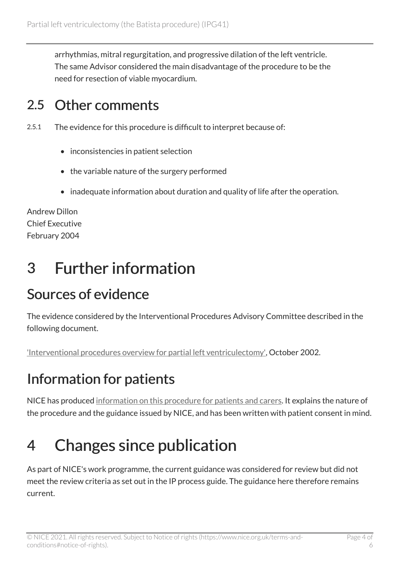arrhythmias, mitral regurgitation, and progressive dilation of the left ventricle. The same Advisor considered the main disadvantage of the procedure to be the need for resection of viable myocardium.

#### 2.5 Other comments

2.5.1 The evidence for this procedure is difficult to interpret because of:

- inconsistencies in patient selection
- the variable nature of the surgery performed
- inadequate information about duration and quality of life after the operation.

Andrew Dillon Chief Executive February 2004

## 3 Further information

### Sources of evidence

The evidence considered by the Interventional Procedures Advisory Committee described in the following document.

['Interventional procedures overview for partial left ventriculectomy',](http://www.nice.org.uk/proxy/?sourceUrl=http%3a%2f%2fwww.nice.org.uk%2fip060overview) October 2002.

## Information for patients

NICE has produced [information on this procedure for patients and carers](http://www.nice.org.uk/guidance/ipg41/informationforpublic). It explains the nature of the procedure and the guidance issued by NICE, and has been written with patient consent in mind.

## 4 Changes since publication

As part of NICE's work programme, the current guidance was considered for review but did not meet the review criteria as set out in the IP process guide. The guidance here therefore remains current.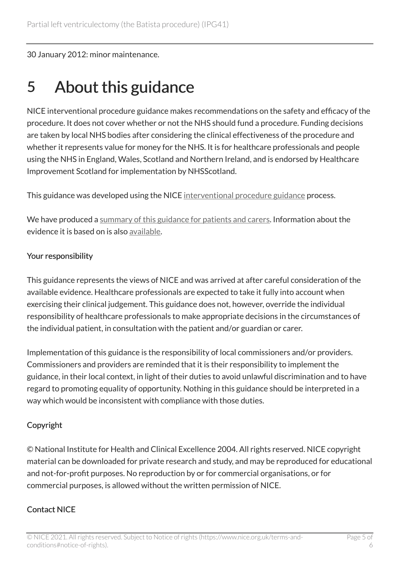30 January 2012: minor maintenance.

## 5 About this guidance

NICE interventional procedure guidance makes recommendations on the safety and efficacy of the procedure. It does not cover whether or not the NHS should fund a procedure. Funding decisions are taken by local NHS bodies after considering the clinical effectiveness of the procedure and whether it represents value for money for the NHS. It is for healthcare professionals and people using the NHS in England, Wales, Scotland and Northern Ireland, and is endorsed by Healthcare Improvement Scotland for implementation by NHSScotland.

This guidance was developed using the NICE [interventional procedure guidance](http://www.nice.org.uk/about/what-we-do/our-programmes/nice-guidance/nice-interventional-procedures-guidance) process.

We have produced a [summary of this guidance for patients and carers.](http://www.nice.org.uk/guidance/ipg41/informationforpublic) Information about the evidence it is based on is also [available](http://www.nice.org.uk/guidance/ipg41).

#### Your responsibility

This guidance represents the views of NICE and was arrived at after careful consideration of the available evidence. Healthcare professionals are expected to take it fully into account when exercising their clinical judgement. This guidance does not, however, override the individual responsibility of healthcare professionals to make appropriate decisions in the circumstances of the individual patient, in consultation with the patient and/or guardian or carer.

Implementation of this guidance is the responsibility of local commissioners and/or providers. Commissioners and providers are reminded that it is their responsibility to implement the guidance, in their local context, in light of their duties to avoid unlawful discrimination and to have regard to promoting equality of opportunity. Nothing in this guidance should be interpreted in a way which would be inconsistent with compliance with those duties.

#### Copyright

© National Institute for Health and Clinical Excellence 2004. All rights reserved. NICE copyright material can be downloaded for private research and study, and may be reproduced for educational and not-for-profit purposes. No reproduction by or for commercial organisations, or for commercial purposes, is allowed without the written permission of NICE.

#### Contact NICE